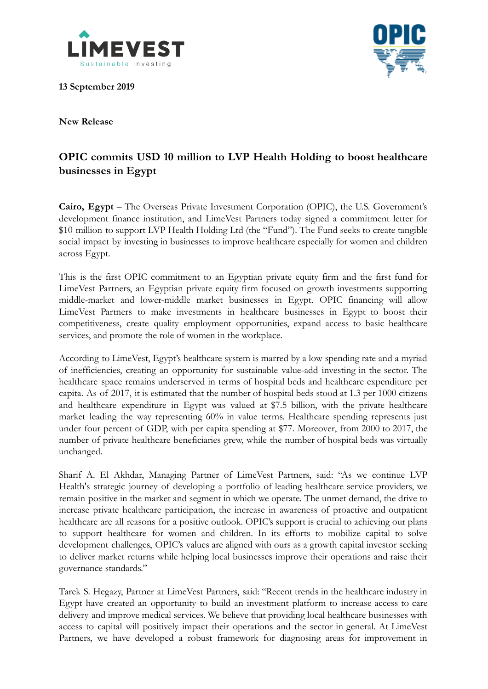

**13 September 2019**



**New Release**

## **OPIC commits USD 10 million to LVP Health Holding to boost healthcare businesses in Egypt**

**Cairo, Egypt** – The Overseas Private Investment Corporation (OPIC), the U.S. Government's development finance institution, and LimeVest Partners today signed a commitment letter for \$10 million to support LVP Health Holding Ltd (the "Fund"). The Fund seeks to create tangible social impact by investing in businesses to improve healthcare especially for women and children across Egypt.

This is the first OPIC commitment to an Egyptian private equity firm and the first fund for LimeVest Partners, an Egyptian private equity firm focused on growth investments supporting middle-market and lower-middle market businesses in Egypt. OPIC financing will allow LimeVest Partners to make investments in healthcare businesses in Egypt to boost their competitiveness, create quality employment opportunities, expand access to basic healthcare services, and promote the role of women in the workplace.

According to LimeVest, Egypt's healthcare system is marred by a low spending rate and a myriad of inefficiencies, creating an opportunity for sustainable value-add investing in the sector. The healthcare space remains underserved in terms of hospital beds and healthcare expenditure per capita. As of 2017, it is estimated that the number of hospital beds stood at 1.3 per 1000 citizens and healthcare expenditure in Egypt was valued at \$7.5 billion, with the private healthcare market leading the way representing 60% in value terms. Healthcare spending represents just under four percent of GDP, with per capita spending at \$77. Moreover, from 2000 to 2017, the number of private healthcare beneficiaries grew, while the number of hospital beds was virtually unchanged.

Sharif A. El Akhdar, Managing Partner of LimeVest Partners, said: "As we continue LVP Health's strategic journey of developing a portfolio of leading healthcare service providers, we remain positive in the market and segment in which we operate. The unmet demand, the drive to increase private healthcare participation, the increase in awareness of proactive and outpatient healthcare are all reasons for a positive outlook. OPIC's support is crucial to achieving our plans to support healthcare for women and children. In its efforts to mobilize capital to solve development challenges, OPIC's values are aligned with ours as a growth capital investor seeking to deliver market returns while helping local businesses improve their operations and raise their governance standards."

Tarek S. Hegazy, Partner at LimeVest Partners, said: "Recent trends in the healthcare industry in Egypt have created an opportunity to build an investment platform to increase access to care delivery and improve medical services. We believe that providing local healthcare businesses with access to capital will positively impact their operations and the sector in general. At LimeVest Partners, we have developed a robust framework for diagnosing areas for improvement in